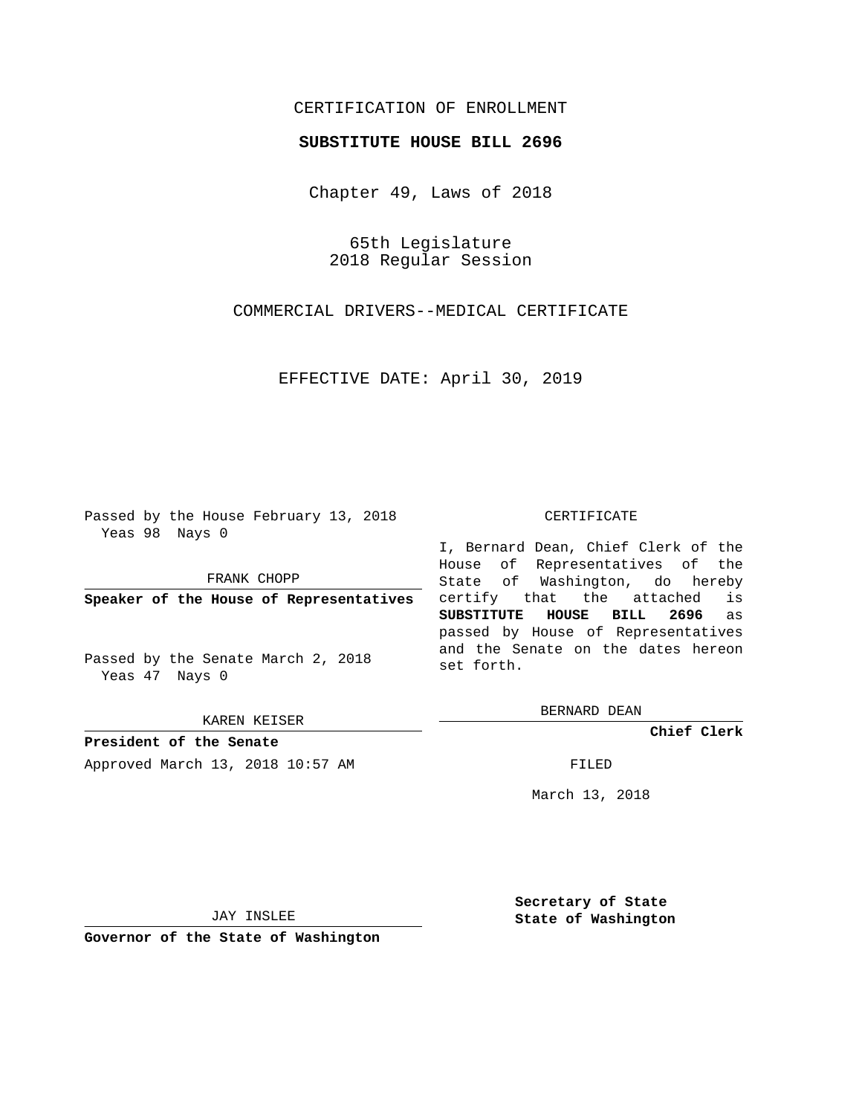## CERTIFICATION OF ENROLLMENT

## **SUBSTITUTE HOUSE BILL 2696**

Chapter 49, Laws of 2018

65th Legislature 2018 Regular Session

COMMERCIAL DRIVERS--MEDICAL CERTIFICATE

EFFECTIVE DATE: April 30, 2019

Passed by the House February 13, 2018 Yeas 98 Nays 0

FRANK CHOPP

**Speaker of the House of Representatives**

Passed by the Senate March 2, 2018 Yeas 47 Nays 0

KAREN KEISER

**President of the Senate** Approved March 13, 2018 10:57 AM FILED

## CERTIFICATE

I, Bernard Dean, Chief Clerk of the House of Representatives of the State of Washington, do hereby certify that the attached is **SUBSTITUTE HOUSE BILL 2696** as passed by House of Representatives and the Senate on the dates hereon set forth.

BERNARD DEAN

**Chief Clerk**

March 13, 2018

JAY INSLEE

**Governor of the State of Washington**

**Secretary of State State of Washington**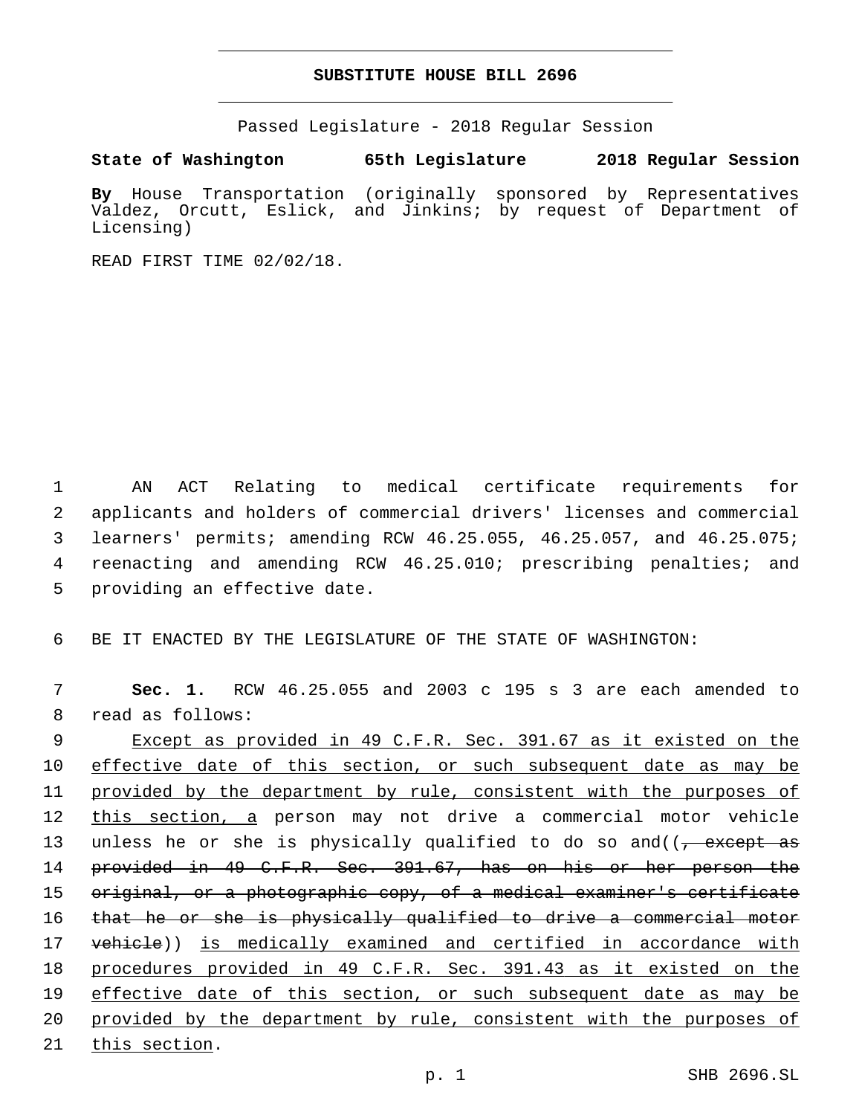## **SUBSTITUTE HOUSE BILL 2696**

Passed Legislature - 2018 Regular Session

**State of Washington 65th Legislature 2018 Regular Session**

**By** House Transportation (originally sponsored by Representatives Valdez, Orcutt, Eslick, and Jinkins; by request of Department of Licensing)

READ FIRST TIME 02/02/18.

 AN ACT Relating to medical certificate requirements for applicants and holders of commercial drivers' licenses and commercial learners' permits; amending RCW 46.25.055, 46.25.057, and 46.25.075; reenacting and amending RCW 46.25.010; prescribing penalties; and 5 providing an effective date.

6 BE IT ENACTED BY THE LEGISLATURE OF THE STATE OF WASHINGTON:

7 **Sec. 1.** RCW 46.25.055 and 2003 c 195 s 3 are each amended to 8 read as follows:

9 Except as provided in 49 C.F.R. Sec. 391.67 as it existed on the 10 effective date of this section, or such subsequent date as may be 11 provided by the department by rule, consistent with the purposes of 12 this section, a person may not drive a commercial motor vehicle 13 unless he or she is physically qualified to do so and((<del>, except as</del> 14 provided in 49 C.F.R. Sec. 391.67, has on his or her person the 15 original, or a photographic copy, of a medical examiner's certificate 16 that he or she is physically qualified to drive a commercial motor 17 vehicle)) is medically examined and certified in accordance with 18 procedures provided in 49 C.F.R. Sec. 391.43 as it existed on the 19 effective date of this section, or such subsequent date as may be 20 provided by the department by rule, consistent with the purposes of 21 this section.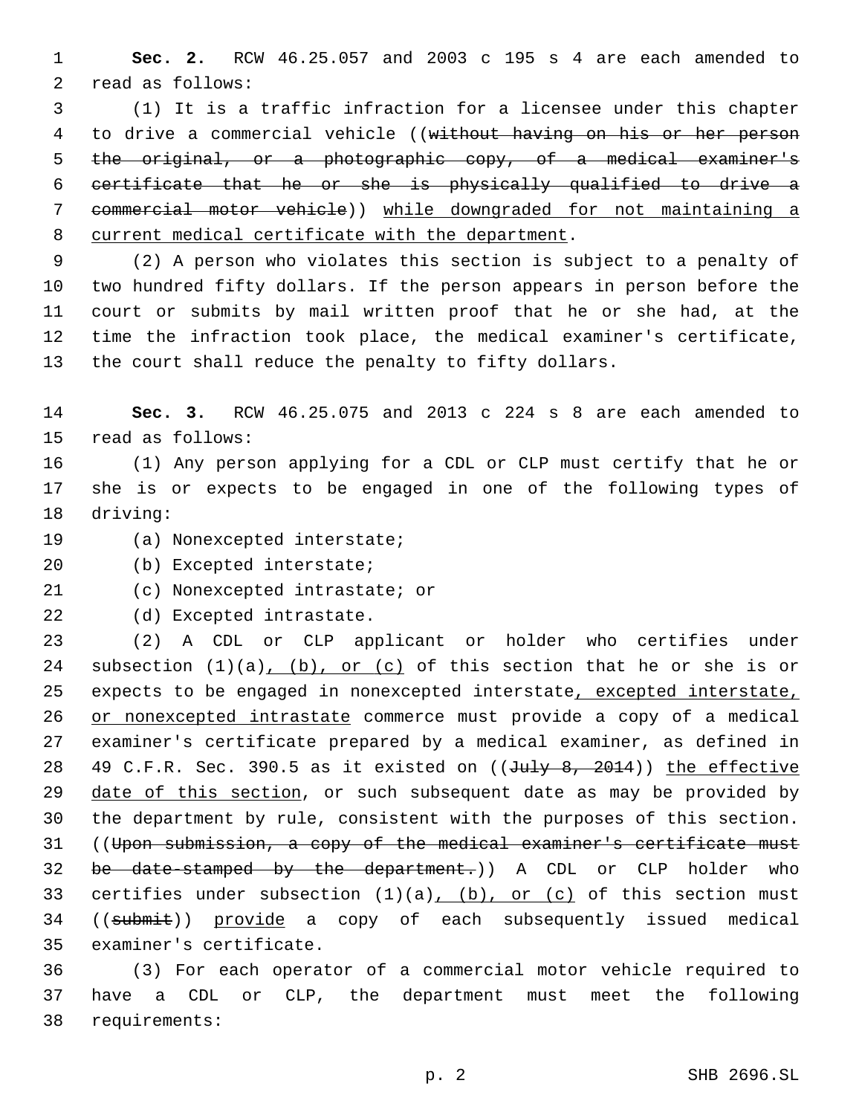1 **Sec. 2.** RCW 46.25.057 and 2003 c 195 s 4 are each amended to 2 read as follows:

 (1) It is a traffic infraction for a licensee under this chapter to drive a commercial vehicle ((without having on his or her person the original, or a photographic copy, of a medical examiner's certificate that he or she is physically qualified to drive a commercial motor vehicle)) while downgraded for not maintaining a 8 current medical certificate with the department.

 (2) A person who violates this section is subject to a penalty of two hundred fifty dollars. If the person appears in person before the court or submits by mail written proof that he or she had, at the time the infraction took place, the medical examiner's certificate, the court shall reduce the penalty to fifty dollars.

14 **Sec. 3.** RCW 46.25.075 and 2013 c 224 s 8 are each amended to 15 read as follows:

16 (1) Any person applying for a CDL or CLP must certify that he or 17 she is or expects to be engaged in one of the following types of 18 driving:

19 (a) Nonexcepted interstate;

20 (b) Excepted interstate;

21 (c) Nonexcepted intrastate; or

22 (d) Excepted intrastate.

23 (2) A CDL or CLP applicant or holder who certifies under 24 subsection  $(1)(a)$ ,  $(b)$ , or  $(c)$  of this section that he or she is or 25 expects to be engaged in nonexcepted interstate, excepted interstate, 26 or nonexcepted intrastate commerce must provide a copy of a medical 27 examiner's certificate prepared by a medical examiner, as defined in 28 49 C.F.R. Sec. 390.5 as it existed on  $((\text{J9, 2014))$  the effective 29 date of this section, or such subsequent date as may be provided by 30 the department by rule, consistent with the purposes of this section. 31 ((Upon submission, a copy of the medical examiner's certificate must 32 be date-stamped by the department.)) A CDL or CLP holder who 33 certifies under subsection  $(1)(a)$ ,  $(b)$ , or  $(c)$  of this section must 34 ((submit)) provide a copy of each subsequently issued medical 35 examiner's certificate.

36 (3) For each operator of a commercial motor vehicle required to 37 have a CDL or CLP, the department must meet the following requirements:38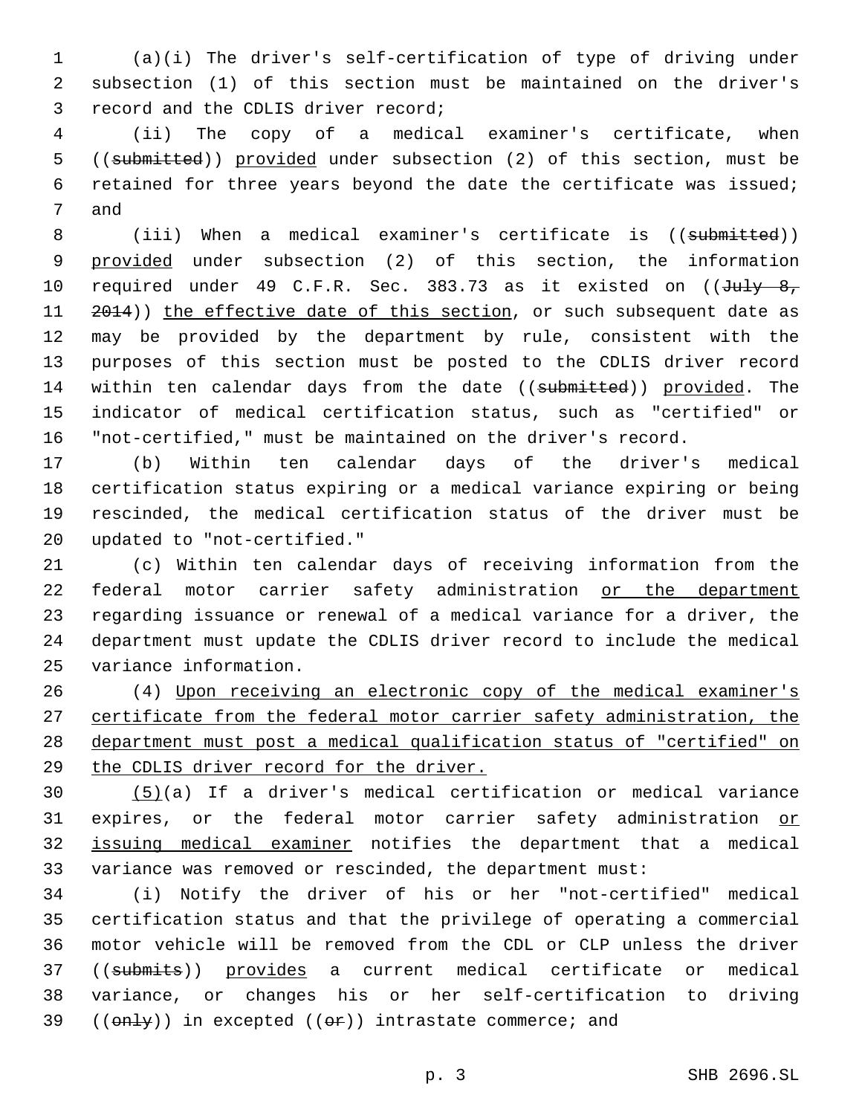(a)(i) The driver's self-certification of type of driving under subsection (1) of this section must be maintained on the driver's 3 record and the CDLIS driver record;

 (ii) The copy of a medical examiner's certificate, when ((submitted)) provided under subsection (2) of this section, must be retained for three years beyond the date the certificate was issued; 7 and

8 (iii) When a medical examiner's certificate is ((submitted)) provided under subsection (2) of this section, the information 10 required under 49 C.F.R. Sec. 383.73 as it existed on ((July 8, 11 2014)) the effective date of this section, or such subsequent date as may be provided by the department by rule, consistent with the purposes of this section must be posted to the CDLIS driver record 14 within ten calendar days from the date ((submitted)) provided. The indicator of medical certification status, such as "certified" or "not-certified," must be maintained on the driver's record.

 (b) Within ten calendar days of the driver's medical certification status expiring or a medical variance expiring or being rescinded, the medical certification status of the driver must be updated to "not-certified."20

 (c) Within ten calendar days of receiving information from the federal motor carrier safety administration or the department regarding issuance or renewal of a medical variance for a driver, the department must update the CDLIS driver record to include the medical 25 variance information.

 (4) Upon receiving an electronic copy of the medical examiner's certificate from the federal motor carrier safety administration, the department must post a medical qualification status of "certified" on the CDLIS driver record for the driver.

 (5)(a) If a driver's medical certification or medical variance 31 expires, or the federal motor carrier safety administration or issuing medical examiner notifies the department that a medical variance was removed or rescinded, the department must:

 (i) Notify the driver of his or her "not-certified" medical certification status and that the privilege of operating a commercial motor vehicle will be removed from the CDL or CLP unless the driver ((submits)) provides a current medical certificate or medical variance, or changes his or her self-certification to driving  $((only))$  in excepted  $((or))$  intrastate commerce; and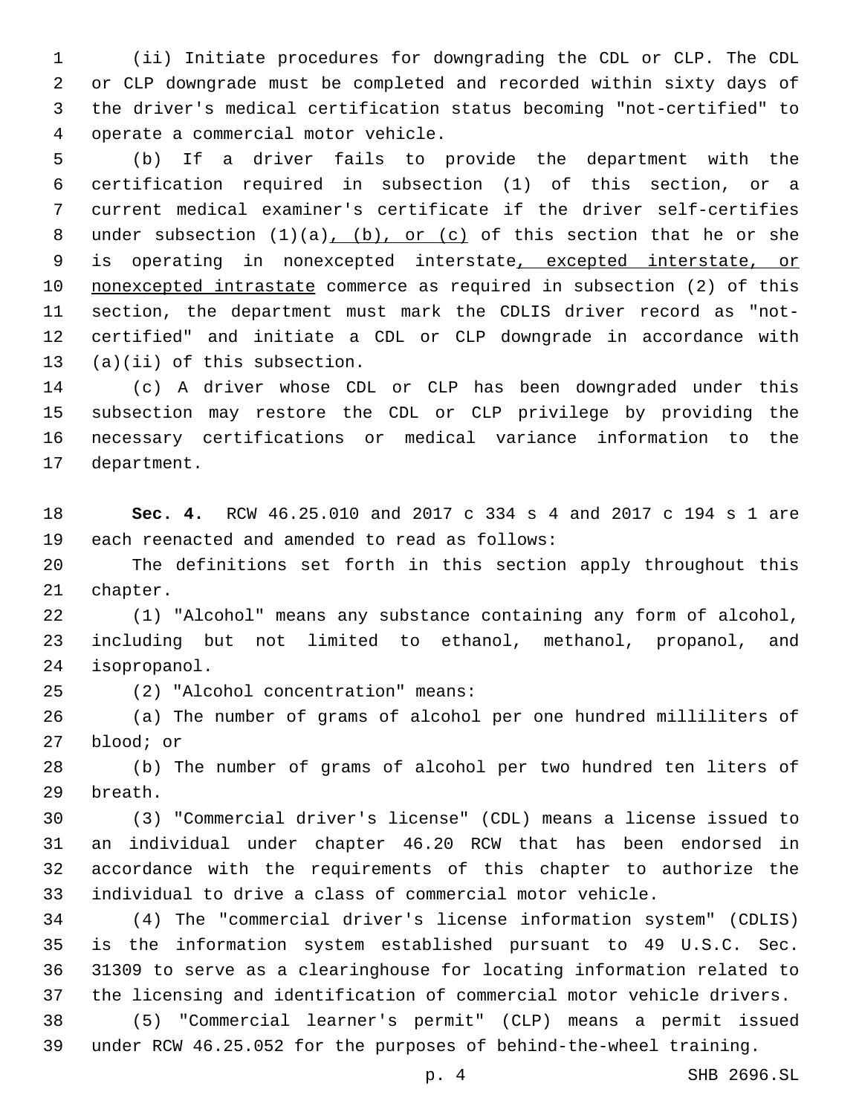(ii) Initiate procedures for downgrading the CDL or CLP. The CDL or CLP downgrade must be completed and recorded within sixty days of the driver's medical certification status becoming "not-certified" to operate a commercial motor vehicle.4

 (b) If a driver fails to provide the department with the certification required in subsection (1) of this section, or a current medical examiner's certificate if the driver self-certifies 8 under subsection  $(1)(a)$ ,  $(b)$ , or  $(c)$  of this section that he or she is operating in nonexcepted interstate, excepted interstate, or nonexcepted intrastate commerce as required in subsection (2) of this section, the department must mark the CDLIS driver record as "not- certified" and initiate a CDL or CLP downgrade in accordance with  $(13)(ii)$  of this subsection.

 (c) A driver whose CDL or CLP has been downgraded under this subsection may restore the CDL or CLP privilege by providing the necessary certifications or medical variance information to the 17 department.

 **Sec. 4.** RCW 46.25.010 and 2017 c 334 s 4 and 2017 c 194 s 1 are 19 each reenacted and amended to read as follows:

 The definitions set forth in this section apply throughout this 21 chapter.

 (1) "Alcohol" means any substance containing any form of alcohol, including but not limited to ethanol, methanol, propanol, and 24 isopropanol.

(2) "Alcohol concentration" means:25

 (a) The number of grams of alcohol per one hundred milliliters of 27 blood; or

 (b) The number of grams of alcohol per two hundred ten liters of 29 breath.

 (3) "Commercial driver's license" (CDL) means a license issued to an individual under chapter 46.20 RCW that has been endorsed in accordance with the requirements of this chapter to authorize the individual to drive a class of commercial motor vehicle.

 (4) The "commercial driver's license information system" (CDLIS) is the information system established pursuant to 49 U.S.C. Sec. 31309 to serve as a clearinghouse for locating information related to the licensing and identification of commercial motor vehicle drivers.

 (5) "Commercial learner's permit" (CLP) means a permit issued under RCW 46.25.052 for the purposes of behind-the-wheel training.

p. 4 SHB 2696.SL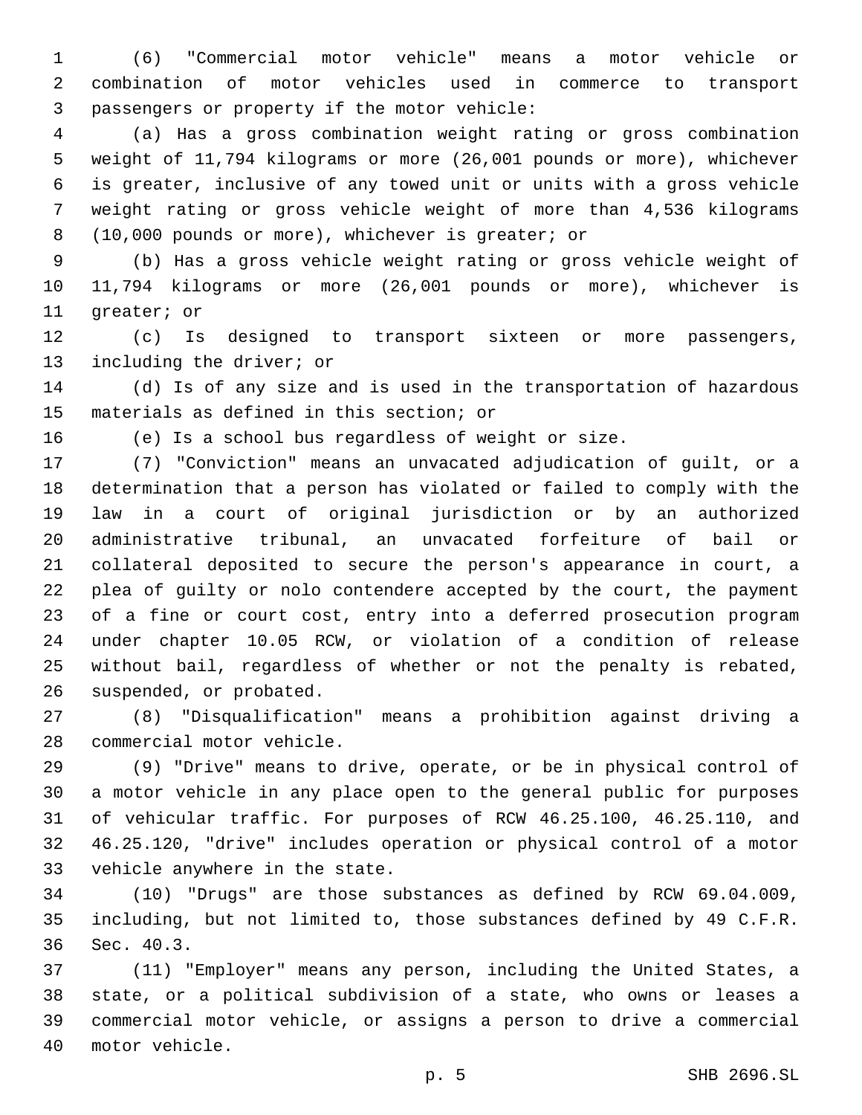(6) "Commercial motor vehicle" means a motor vehicle or combination of motor vehicles used in commerce to transport 3 passengers or property if the motor vehicle:

 (a) Has a gross combination weight rating or gross combination weight of 11,794 kilograms or more (26,001 pounds or more), whichever is greater, inclusive of any towed unit or units with a gross vehicle weight rating or gross vehicle weight of more than 4,536 kilograms (10,000 pounds or more), whichever is greater; or8

 (b) Has a gross vehicle weight rating or gross vehicle weight of 11,794 kilograms or more (26,001 pounds or more), whichever is 11 qreater; or

 (c) Is designed to transport sixteen or more passengers, 13 including the driver; or

 (d) Is of any size and is used in the transportation of hazardous 15 materials as defined in this section; or

(e) Is a school bus regardless of weight or size.

 (7) "Conviction" means an unvacated adjudication of guilt, or a determination that a person has violated or failed to comply with the law in a court of original jurisdiction or by an authorized administrative tribunal, an unvacated forfeiture of bail or collateral deposited to secure the person's appearance in court, a plea of guilty or nolo contendere accepted by the court, the payment of a fine or court cost, entry into a deferred prosecution program under chapter 10.05 RCW, or violation of a condition of release without bail, regardless of whether or not the penalty is rebated, 26 suspended, or probated.

 (8) "Disqualification" means a prohibition against driving a 28 commercial motor vehicle.

 (9) "Drive" means to drive, operate, or be in physical control of a motor vehicle in any place open to the general public for purposes of vehicular traffic. For purposes of RCW 46.25.100, 46.25.110, and 46.25.120, "drive" includes operation or physical control of a motor 33 vehicle anywhere in the state.

 (10) "Drugs" are those substances as defined by RCW 69.04.009, including, but not limited to, those substances defined by 49 C.F.R. 36 Sec. 40.3.

 (11) "Employer" means any person, including the United States, a state, or a political subdivision of a state, who owns or leases a commercial motor vehicle, or assigns a person to drive a commercial 40 motor vehicle.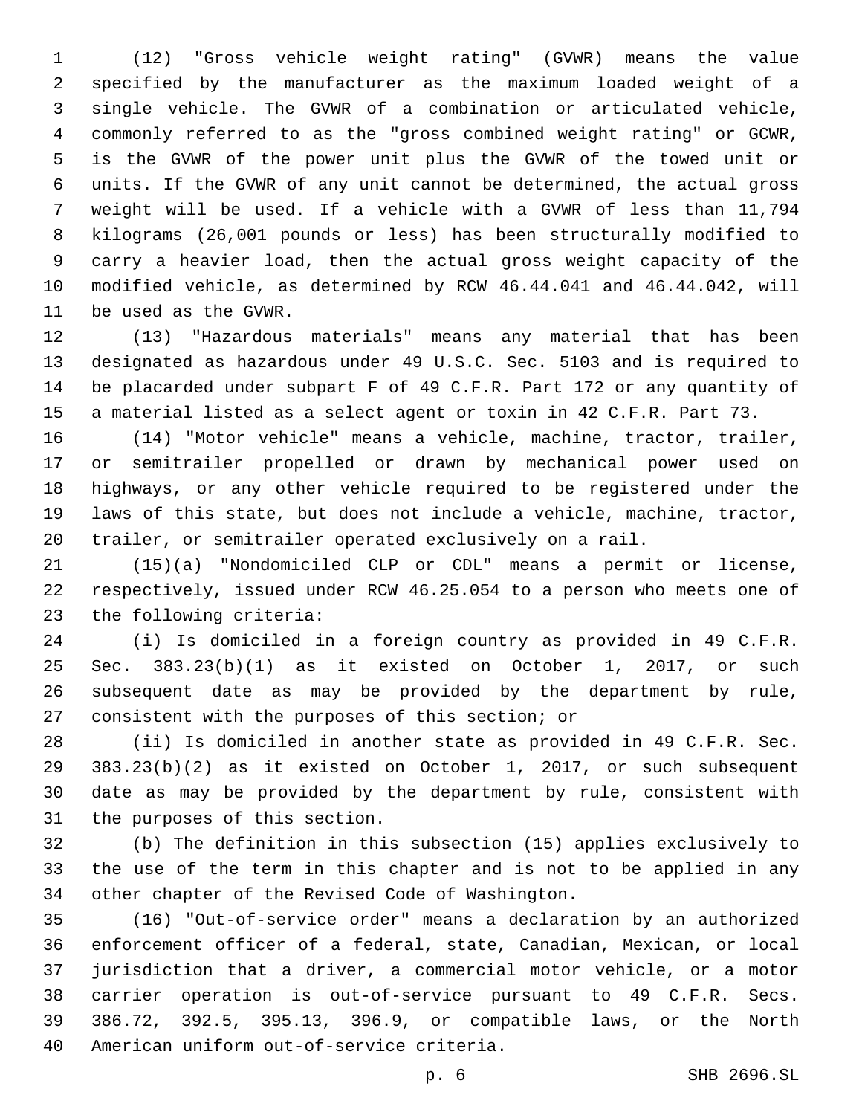(12) "Gross vehicle weight rating" (GVWR) means the value specified by the manufacturer as the maximum loaded weight of a single vehicle. The GVWR of a combination or articulated vehicle, commonly referred to as the "gross combined weight rating" or GCWR, is the GVWR of the power unit plus the GVWR of the towed unit or units. If the GVWR of any unit cannot be determined, the actual gross weight will be used. If a vehicle with a GVWR of less than 11,794 kilograms (26,001 pounds or less) has been structurally modified to carry a heavier load, then the actual gross weight capacity of the modified vehicle, as determined by RCW 46.44.041 and 46.44.042, will 11 be used as the GVWR.

 (13) "Hazardous materials" means any material that has been designated as hazardous under 49 U.S.C. Sec. 5103 and is required to be placarded under subpart F of 49 C.F.R. Part 172 or any quantity of a material listed as a select agent or toxin in 42 C.F.R. Part 73.

 (14) "Motor vehicle" means a vehicle, machine, tractor, trailer, or semitrailer propelled or drawn by mechanical power used on highways, or any other vehicle required to be registered under the laws of this state, but does not include a vehicle, machine, tractor, trailer, or semitrailer operated exclusively on a rail.

 (15)(a) "Nondomiciled CLP or CDL" means a permit or license, respectively, issued under RCW 46.25.054 to a person who meets one of 23 the following criteria:

 (i) Is domiciled in a foreign country as provided in 49 C.F.R. Sec. 383.23(b)(1) as it existed on October 1, 2017, or such subsequent date as may be provided by the department by rule, 27 consistent with the purposes of this section; or

 (ii) Is domiciled in another state as provided in 49 C.F.R. Sec. 383.23(b)(2) as it existed on October 1, 2017, or such subsequent date as may be provided by the department by rule, consistent with 31 the purposes of this section.

 (b) The definition in this subsection (15) applies exclusively to the use of the term in this chapter and is not to be applied in any 34 other chapter of the Revised Code of Washington.

 (16) "Out-of-service order" means a declaration by an authorized enforcement officer of a federal, state, Canadian, Mexican, or local jurisdiction that a driver, a commercial motor vehicle, or a motor carrier operation is out-of-service pursuant to 49 C.F.R. Secs. 386.72, 392.5, 395.13, 396.9, or compatible laws, or the North 40 American uniform out-of-service criteria.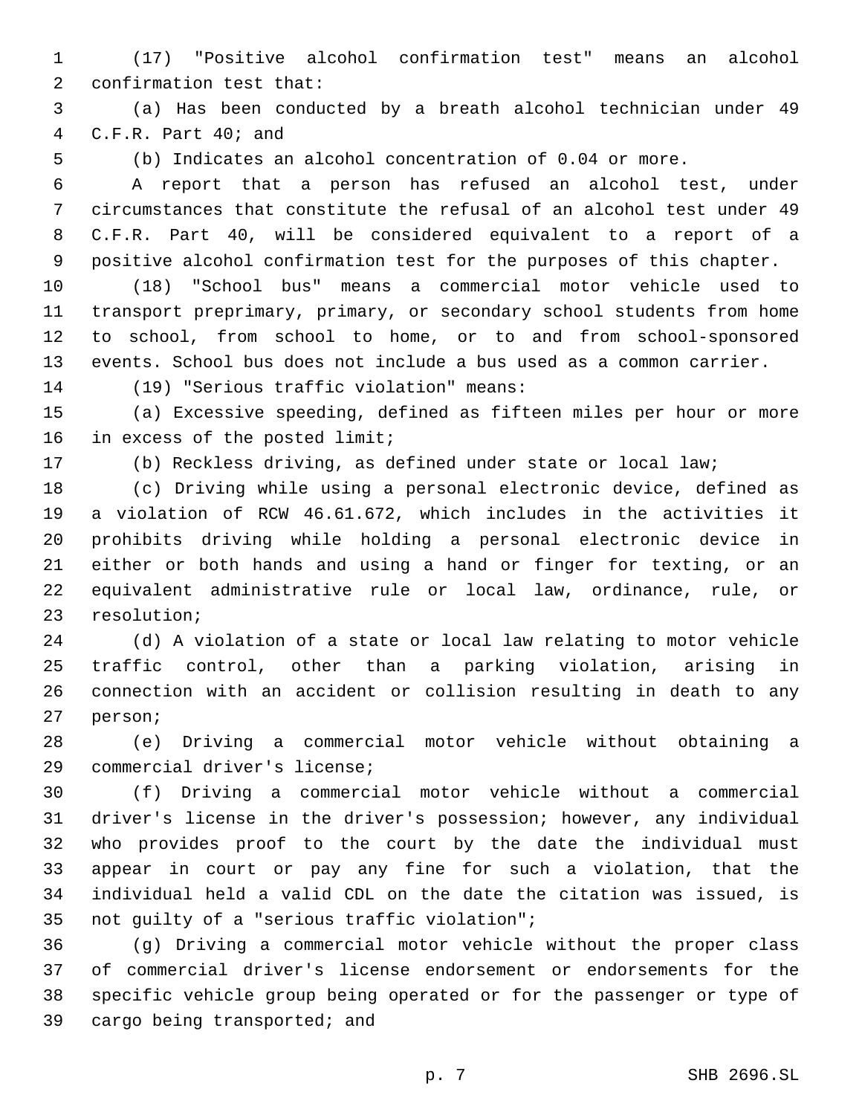(17) "Positive alcohol confirmation test" means an alcohol 2 confirmation test that:

 (a) Has been conducted by a breath alcohol technician under 49 C.F.R. Part  $40;$  and

(b) Indicates an alcohol concentration of 0.04 or more.

 A report that a person has refused an alcohol test, under circumstances that constitute the refusal of an alcohol test under 49 C.F.R. Part 40, will be considered equivalent to a report of a positive alcohol confirmation test for the purposes of this chapter.

 (18) "School bus" means a commercial motor vehicle used to transport preprimary, primary, or secondary school students from home to school, from school to home, or to and from school-sponsored events. School bus does not include a bus used as a common carrier.

(19) "Serious traffic violation" means:14

 (a) Excessive speeding, defined as fifteen miles per hour or more 16 in excess of the posted limit;

(b) Reckless driving, as defined under state or local law;

 (c) Driving while using a personal electronic device, defined as a violation of RCW 46.61.672, which includes in the activities it prohibits driving while holding a personal electronic device in either or both hands and using a hand or finger for texting, or an equivalent administrative rule or local law, ordinance, rule, or 23 resolution;

 (d) A violation of a state or local law relating to motor vehicle traffic control, other than a parking violation, arising in connection with an accident or collision resulting in death to any 27 person;

 (e) Driving a commercial motor vehicle without obtaining a 29 commercial driver's license;

 (f) Driving a commercial motor vehicle without a commercial driver's license in the driver's possession; however, any individual who provides proof to the court by the date the individual must appear in court or pay any fine for such a violation, that the individual held a valid CDL on the date the citation was issued, is 35 not guilty of a "serious traffic violation";

 (g) Driving a commercial motor vehicle without the proper class of commercial driver's license endorsement or endorsements for the specific vehicle group being operated or for the passenger or type of 39 cargo being transported; and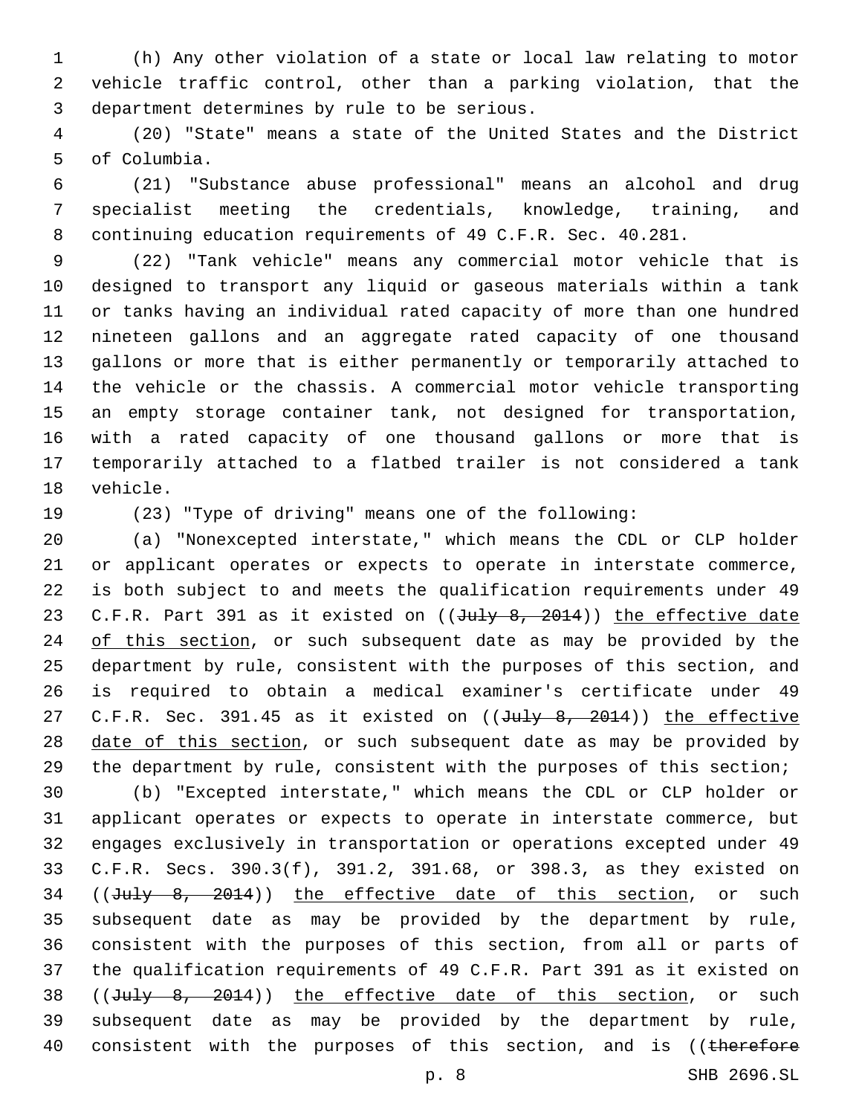(h) Any other violation of a state or local law relating to motor vehicle traffic control, other than a parking violation, that the 3 department determines by rule to be serious.

 (20) "State" means a state of the United States and the District 5 of Columbia.

 (21) "Substance abuse professional" means an alcohol and drug specialist meeting the credentials, knowledge, training, and continuing education requirements of 49 C.F.R. Sec. 40.281.

 (22) "Tank vehicle" means any commercial motor vehicle that is designed to transport any liquid or gaseous materials within a tank or tanks having an individual rated capacity of more than one hundred nineteen gallons and an aggregate rated capacity of one thousand gallons or more that is either permanently or temporarily attached to the vehicle or the chassis. A commercial motor vehicle transporting an empty storage container tank, not designed for transportation, with a rated capacity of one thousand gallons or more that is temporarily attached to a flatbed trailer is not considered a tank 18 vehicle.

(23) "Type of driving" means one of the following:

 (a) "Nonexcepted interstate," which means the CDL or CLP holder or applicant operates or expects to operate in interstate commerce, is both subject to and meets the qualification requirements under 49 23 C.F.R. Part 391 as it existed on ((July 8, 2014)) the effective date 24 of this section, or such subsequent date as may be provided by the department by rule, consistent with the purposes of this section, and is required to obtain a medical examiner's certificate under 49 27 C.F.R. Sec. 391.45 as it existed on ((July 8, 2014)) the effective 28 date of this section, or such subsequent date as may be provided by the department by rule, consistent with the purposes of this section;

 (b) "Excepted interstate," which means the CDL or CLP holder or applicant operates or expects to operate in interstate commerce, but engages exclusively in transportation or operations excepted under 49 C.F.R. Secs. 390.3(f), 391.2, 391.68, or 398.3, as they existed on 34 ((July 8, 2014)) the effective date of this section, or such subsequent date as may be provided by the department by rule, consistent with the purposes of this section, from all or parts of the qualification requirements of 49 C.F.R. Part 391 as it existed on 38 ((July 8, 2014)) the effective date of this section, or such subsequent date as may be provided by the department by rule, 40 consistent with the purposes of this section, and is ((therefore